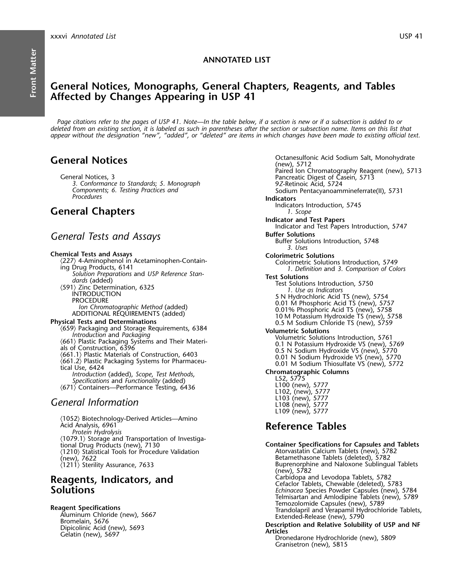### **ANNOTATED LIST**

## **General Notices, Monographs, General Chapters, Reagents, and Tables Affected by Changes Appearing in USP 41**

*Page citations refer to the pages of USP 41. Note—In the table below, if a section is new or if a subsection is added to or deleted from an existing section, it is labeled as such in parentheses after the section or subsection name. Items on this list that appear without the designation "new", "added", or "deleted" are items in which changes have been made to existing official text.*

- 
- 
- 
- 
- 

- 
- 
- 
- 
- 
- 

# L103 (new), 5777 *General Information* L108 (new), 5777

〈1052〉 Biotechnology-Derived Articles—Amino Acid Analysis, 6961 **Reference Tables** *Protein Hydrolysis*  $\langle 1079.1 \rangle$  Storage and Transportation of Investigational Drug Products (new), 7130  $\langle 1210 \rangle$  Statistical Tools for Procedure Validation (1210) Statistical Tools for Procedure Validation (1210) Atorvastatin Calcium Tablets (new), 5782<br>
(new), 7622 Betamethasone Tablets (deleted), 5782<br>
(1211) Sterility Assurance, 7633 (1211) Sterility Assurance, 7633

**General Notices Community** Octanesulfonic Acid Sodium Salt, Monohydrate (new), 5712 Paired Ion Chromatography Reagent (new), 5713<br>
Pancreatic Digest of Casein, 5713<br>
3. Conformance to Standards; *5. Monograph* 97 Pancreatic Digest of Casein, 5713<br>
27-Retinoic Acid, 5724<br>
Sodium Pentacyanoammineferrate(II) *Components*; *6. Testing Practices and* Sodium Pentacyanoammineferrate(II), 5731 *Procedures* **Indicators** Indicators Introduction, 5745 **General Chapters** *1. Scope* **Indicator and Test Papers** Indicator and Test Papers Introduction, 5747 **General Tests and Assays Buffer Solutions Buffer Solutions estimated Buffer Solutions Buffer Solutions Introduction**, 5748 *3. Uses* **Chemical Tests and Assays**<br>  $\langle 227 \rangle$  4-Aminophenol in Acetaminophen-Contain-<br>
Colorimetric Solution (227) 4-Aminophen-Ontain<br>
ing Drug Products, 6141<br>
Solution Preparations and USP Reference Stan-<br>
Solution Preparations and USP Reference Stan-<br>
Solutions Introduction, 5750<br>
(S91) Zinc Determination, 6325<br>
ITEST Solution L109 (new), 5777

**Container Specifications for Capsules and Tablets** Buprenorphine and Naloxone Sublingual Tablets (new), 5782<br>Carbidopa and Levodopa Tablets, 5782 Carbidopa and Levodopa Tablets, 5782 **Reagents, Indicators, and** Cefaclor Tablets, Chewable (deleted), 5783 **Solutions** *Echinacea* Species Powder Capsules (new), 5784 Telmisartan and Amlodipine Tablets (new), 5789 **Reagent Specifications**<br>
Aluminum Chloride (new), 5667<br>
Bromelain, 5676<br>
Dipicolinic Acid (new), 5693<br>
Gelatin (new), 5697<br>
Celatin (new), 5697<br>
Celatin (new), 5697<br>
Celatin (new), 5697<br>
Celatin (new), 5697<br>
Celatin (new)

Granisetron (new), 5815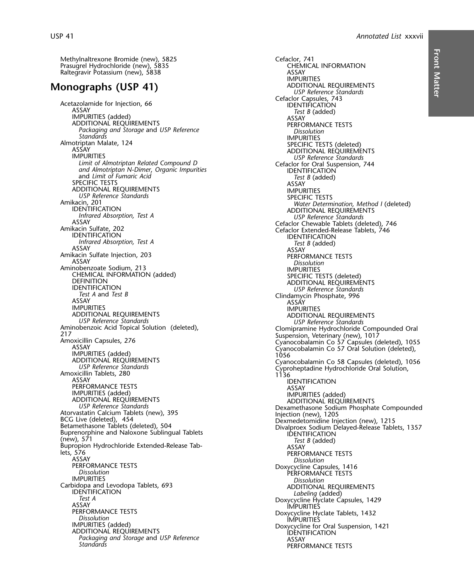Methylnaltrexone Bromide (new), 5825<br>
Prasugrel Hydrochloride (new), 5835<br>
CHEMICAL INFORMATION Prasugrel Hydrochloride (new), 5835<br>
Raltegravir Potassium (new), 5838 Raltegravir Potassium (new), 5838

# **Monographs (USP 41)** ADDITIONAL REQUIREMENTS

Acetazolamide for Injection, 66 **International Cefaclor Capsules, 743** Cefaclor Capsules, 743 ASSAY *Test B* (added) IMPURITIES (added) ASSAY ADDITIONAL REQUIREMENTS AND ARRIVE TESTS *Packaging and Storage* and *USP Reference Dissolution Standards* IMPURITIES otriptan Malate, 124<br>ASSAY SPECIFIC TESTS (deleted)<br>IMPURITIES **ADDITIONAL REQUIREMENTS**<br>Limit of Almotriptan Related Compound D<br>Limit of Almotriptan Related Compound D *Limit of Almotriptan Related Compound D* Cefaclor for Oral Suspension, 744 *and Almotriptan N-Dimer*, *Organic Impurities* IDENTIFICATION and *Limit of Fumaric Acid*<br>SPECIFIC TESTS ASSAY ADDITIONAL REQUIREMENTS **IMPURITIES USP Reference Standards** SPECIFIC TESTS Amikacin, 201<br>IDENTIFICATION **Example 1989**<br>
IDENTIFICATION ADDITIONAL REQUIREMENTS<br>
Infrared Absorption, Test A<br>
ASSAY Cefaclor Chewable Tablets (deleted) 746<br>
ASSAY ASSAY Cefaclor Chewable Tablets (deleted), 746<br>Amikacin Sulfate, 202<br>IDENTIFICATION IDENTIFICATION IDENTIFICATION *Infrared Absorption, Test A Test B* (added) ASSAY ASSAY ASSAY<br>Amikacin Sulfate Injection, 203<br>ASSAY PERFORMANCE TESTS Aminobenzoate Sodium, 213<br>CHEMICAL INFORMATION (added) SPECIFIC TE CHEMICAL INFORMATION (added) SPECIFIC TESTS (deleted)<br>DEFINITION<br>IDENTIFICATION ADDITIONAL REQUIREMENTS<br>*ISP Reference Standards USP Reference Standards*<br>*Test A* and *Test B Test A* and *Test B* and *Test B* Clindamycin Phosphate, 996 ASSAY<br>ASSAY ASSAY ASSAY ASSAY ASSAY ASSAY IMPURITIES IMPURITIES ADDITIONAL REQUIREMENTS ADDITIONAL REQUIREMENTS *USP Reference Standards USP Reference Standards* Aminobenzoic Acid Topical Solution (deleted),<br>
217<br>
Amoxicillin Capsules, 276<br>
ASSAY Cyanocobalamin Co 57 Capsules (deleted), 1055<br>
MPURITIES (added)<br>
MPURITIES (added)<br>
ADDITIONAL REQUIREMENTS<br>
ADDITIONAL REQUIREMENTS<br>
AD ADDITIONAL REQUIREMENTS<br> *USP Reference Standards* Cyanocobalamin Co 58 Capsules (deleted), 1056<br>
Amoxicillin Tablets, 280 1136<br>
ASSAY IDENTIFICATION PERFORMANCE TESTS<br>
IMPURITIES (added)<br>
IMPURITIES (added)<br>
IMPURITIES (added) ADDITIONAL REQUIREMENTS<br>
USP Reference Standards<br>
Atorvastatin Calcium Tablets (new), 395<br>
BCG Live (deleted), 454<br>
Betamethasone Tablets (deleted), 504<br>
Betamethasone Tablets (deleted), 504<br>
Bivalproex Sodium Delayed-Rele (new), 571 new), 571 *Test B* (added)<br>Bupropion Hydrochloride Extended-Release Tab-<br>ASSAY PERFORMANCE lets, 576 PERFORMANCE TESTS<br>ASSAY PERFORMANCE TESTS ASSAY *Dissolution* ASSAY Dissolution<br>PERFORMANCE TESTS Doxycycline Capsules, 1416<br>Dissolution<br>IMPURITIES Dissolution IMPURITIES *Dissolution* Carbidopa and Levodopa Tablets, 693 ADDITIONAL REQUIREMENTS IDENTIFICATION *Labeling* (added) *Test A* Doxycycline Hyclate Capsules, 1429 ASSAY IMPURITIES ASSAY IMPURITIES<br>
PERFORMANCE TESTS Doxycycline Hyclate Tablets, 1432<br>
Dissolution IMPURITIES<br>
IMPURITIES (added) Doxycycline for Oral Suspension IMPURITIES (added) IMPURITIES (added) Doxycycline for Oral Suspension, 1421<br>ADDITIONAL REQUIREMENTS IDENTIFICATION Packaging and Storage and USP Reference **ASSAY 1986 1986 1996 1996**<br>Standards **ASSAY** 

IMPURITIES *USP Reference Standards* **Dissolution** IDENTIFICATION **PERFORMANCE TESTS**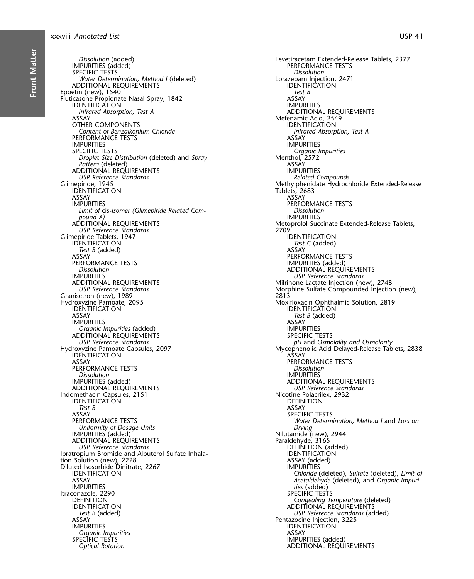Dissolution (added) IMPURITIES (added)<br>SPECIFIC TESTS Water Determination, Method I (deleted) ADDITIONAL REQUIREMENTS Epoetin (new), 1540 Fluticasone Propionate Nasal Spray, 1842 **IDENTIFICATION** Infrared Absorption, Test A ASSAY OTHER COMPONENTS Content of Benzalkonium Chloride PERFORMANCE TESTS **IMPURITIES** SPECIFIC TESTS Droplet Size Distribution (deleted) and Spray Pattern (deleted) ADDITIONAL REQUIREMENTS **USP Reference Standards** Glimepiride, 1945 **IDENTIFICATION ASSAY IMPURITIES** Limit of cis-Isomer (Glimepiride Related Compound A) ADDITIONAL REQUIREMENTS **USP Reference Standards** Glimepiride Tablets, 1947 **IDENTIFICATION** Test B (added) ASSAY PERFORMANCE TESTS Dissolution **IMPURITIES** ADDITIONAL REQUIREMENTS **USP Reference Standards** Granisetron (new), 1989 Hydroxyzine Pamoate, 2095 **IDENTIFICATION** ASSAY **IMPURITIES** Organic Impurities (added) ADDITIONAL REQUIREMENTS **USP Reference Standards** Hydroxyzine Pamoate Capsules, 2097 **IDENTIFICATION** ASSAY PERFORMANCE TESTS **Dissolution** IMPURITIES (added) ADDITIONAL REQUIREMENTS Indomethacin Capsules, 2151 **IDENTIFICATION** Test B ASSAY **PERFORMANCE TESTS**<br>Uniformity of Dosage Units IMPURITIES (added) ADDITIONAL REQUIREMENTS **USP Reference Standards** Ipratropium Bromide and Albuterol Sulfate Inhalation Solution (new), 2228 Diluted Isosorbide Dinitrate, 2267 **IDENTIFICATION** ASSAY **IMPURITIES** Itraconazole, 2290 **DEFINITION IDENTIFICATION** Test B (added) **ASSAY IMPURITIES** Organic Impurities<br>SPECIFIC TESTS **Optical Rotation** 

Levetiracetam Extended-Release Tablets, 2377 PERFORMANCE TESTS Dissolution Lorazepam Injection, 2471 IDENTIFICATION Test B **ASSAY IMPURITIES** ADDITIONAL REQUIREMENTS Mefenamic Acid, 2549 **IDENTIFICATION** Infrared Absorption, Test A **ASSAY IMPURITIES** Organic Impurities Menthol, 2572<br>ASSAY **IMPURITIES Related Compounds** Methylphenidate Hydrochloride Extended-Release Tablets, 2683 **ASSAY** PERFORMANCE TESTS **Dissolution IMPURITIES** Metoprolol Succinate Extended-Release Tablets, 2709 **IDENTIFICATION** Test C (added) ASSAY PERFORMANCE TESTS IMPURITIES (added) ADDITIONAL REQUIREMENTS **USP Reference Standards** Milrinone Lactate Injection (new), 2748 Morphine Sulfate Compounded Injection (new), 2813 Moxifloxacin Ophthalmic Solution, 2819<br>IDENTIFICATION Test B (added) ASSAY **IMPURITIES SPECIFIC TESTS** pH and Osmolality and Osmolarity Mycophenolic Acid Delayed-Release Tablets, 2838 ASSAY PERFORMANCE TESTS **Dissolution IMPURITIES** ADDITIONAL REQUIREMENTS USP Reference Standards Nicotine Polacrilex, 2932 **DEFINITION ASSAY SPECIFIC TESTS** Water Determination, Method I and Loss on Drying Nilutamide (new), 2944 Paraldehyde, 3165<br>DEFINITION (added) **IDENTIFICATION** ASSAY (added) **IMPURITIES** Chloride (deleted), Sulfate (deleted), Limit of Acetaldehyde (deleted), and Organic Impurities (added) SPECIFIC TESTS Congealing Temperature (deleted)<br>ADDITIONAL REQUIREMENTS USP Reference Standards (added) Pentazocine Injection, 3225 **IDENTIFICÁTION ASSAY IMPURITIES** (added) ADDITIONAL REQUIREMENTS